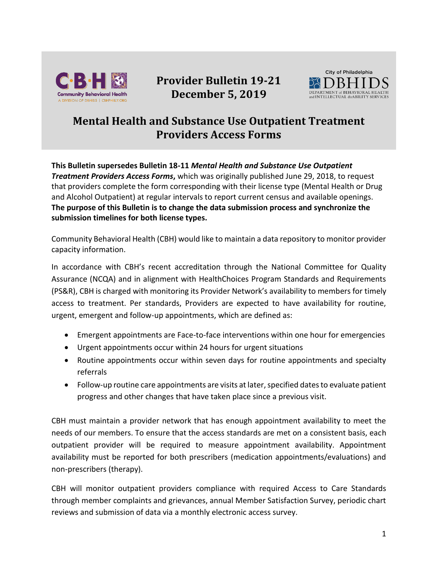

## **Provider Bulletin 19-21 December 5, 2019**



## **Mental Health and Substance Use Outpatient Treatment Providers Access Forms**

**This Bulletin supersedes Bulletin 18-11** *Mental Health and Substance Use Outpatient*  **Treatment Providers Access Forms,** which was originally published June 29, 2018, to request that providers complete the form corresponding with their license type (Mental Health or Drug and Alcohol Outpatient) at regular intervals to report current census and available openings. **The purpose of this Bulletin is to change the data submission process and synchronize the submission timelines for both license types.**

Community Behavioral Health (CBH) would like to maintain a data repository to monitor provider capacity information.

In accordance with CBH's recent accreditation through the National Committee for Quality Assurance (NCQA) and in alignment with HealthChoices Program Standards and Requirements (PS&R), CBH is charged with monitoring its Provider Network's availability to members for timely access to treatment. Per standards, Providers are expected to have availability for routine, urgent, emergent and follow-up appointments, which are defined as:

- Emergent appointments are Face-to-face interventions within one hour for emergencies
- Urgent appointments occur within 24 hours for urgent situations
- Routine appointments occur within seven days for routine appointments and specialty referrals
- Follow-up routine care appointments are visits at later, specified dates to evaluate patient progress and other changes that have taken place since a previous visit.

CBH must maintain a provider network that has enough appointment availability to meet the needs of our members. To ensure that the access standards are met on a consistent basis, each outpatient provider will be required to measure appointment availability. Appointment availability must be reported for both prescribers (medication appointments/evaluations) and non-prescribers (therapy).

CBH will monitor outpatient providers compliance with required Access to Care Standards through member complaints and grievances, annual Member Satisfaction Survey, periodic chart reviews and submission of data via a monthly electronic access survey.